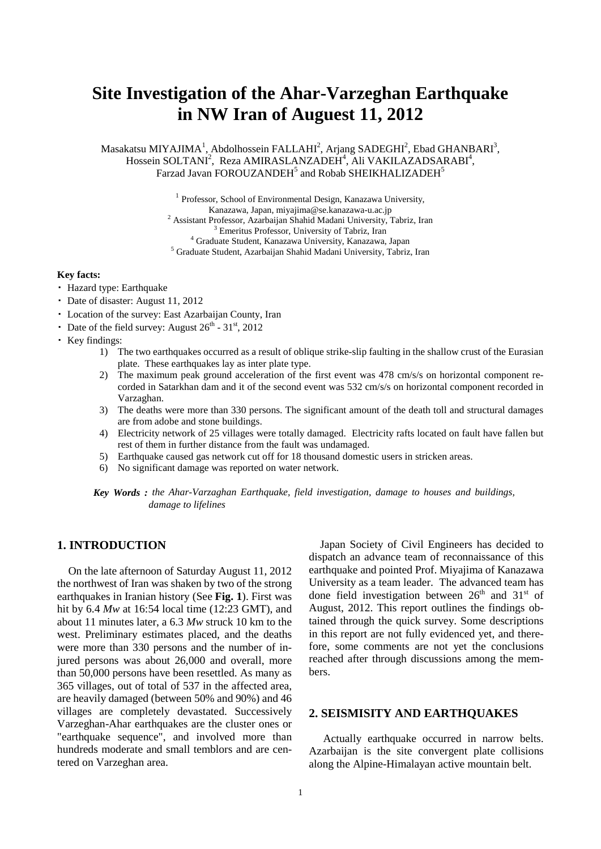# **Site Investigation of the Ahar-Varzeghan Earthquake in NW Iran of Auguest 11, 2012**

Masakatsu MIYAJIMA<sup>1</sup>, Abdolhossein FALLAHI<sup>2</sup>, Arjang SADEGHI<sup>2</sup>, Ebad GHANBARI<sup>3</sup>, Hossein SOLTANI<sup>2</sup>, Reza AMIRASLANZADEH<sup>4</sup>, Ali VAKILAZADSARABI<sup>4</sup>, Farzad Javan FOROUZANDEH<sup>5</sup> and Robab SHEIKHALIZADEH<sup>5</sup>

> <sup>1</sup> Professor, School of Environmental Design, Kanazawa University,  $\begin{array}{c} \text{Kanazawa, Japan, miyajima@se.kanazawa-u.ac.jp} \\ \text{2 Assistant Professor, Azarbaijan Shahid Madani University, Tabriz, Iran} \\ \text{3 Emeritus Professor, University of Tabriz, Iran} \\ \text{4 Graduate Student, Kanazawa University, Kanazawa, Japan} \\ \text{5 Graduate Student, Azarbaijan Shahid Madani University, Tabriz, Iran} \end{array}$

#### **Key facts:**

- ・ Hazard type: Earthquake
- ・ Date of disaster: August 11, 2012
- ・ Location of the survey: East Azarbaijan County, Iran
- Date of the field survey: August  $26^{th}$   $31^{st}$ ,  $2012$
- ・ Key findings:
	- 1) The two earthquakes occurred as a result of oblique strike-slip faulting in the shallow crust of the Eurasian plate. These earthquakes lay as inter plate type.
	- 2) The maximum peak ground acceleration of the first event was 478 cm/s/s on horizontal component recorded in Satarkhan dam and it of the second event was 532 cm/s/s on horizontal component recorded in Varzaghan.
	- 3) The deaths were more than 330 persons. The significant amount of the death toll and structural damages are from adobe and stone buildings.
	- 4) Electricity network of 25 villages were totally damaged. Electricity rafts located on fault have fallen but rest of them in further distance from the fault was undamaged.
	- 5) Earthquake caused gas network cut off for 18 thousand domestic users in stricken areas.
	- 6) No significant damage was reported on water network.
	- *Key Words : the Ahar-Varzaghan Earthquake, field investigation, damage to houses and buildings, damage to lifelines*

## **1. INTRODUCTION**

On the late afternoon of Saturday August 11, 2012 the northwest of Iran was shaken by two of the strong earthquakes in Iranian history (See **Fig. 1**). First was hit by 6.4 *Mw* at 16:54 local time (12:23 GMT), and about 11 minutes later, a 6.3 *Mw* struck 10 km to the west. Preliminary estimates placed, and the deaths were more than 330 persons and the number of injured persons was about 26,000 and overall, more than 50,000 persons have been resettled. As many as 365 villages, out of total of 537 in the affected area, are heavily damaged (between 50% and 90%) and 46 villages are completely devastated. Successively Varzeghan-Ahar earthquakes are the cluster ones or "earthquake sequence", and involved more than hundreds moderate and small temblors and are centered on Varzeghan area.

Japan Society of Civil Engineers has decided to dispatch an advance team of reconnaissance of this earthquake and pointed Prof. Miyajima of Kanazawa University as a team leader. The advanced team has done field investigation between  $26<sup>th</sup>$  and  $31<sup>st</sup>$  of August, 2012. This report outlines the findings obtained through the quick survey. Some descriptions in this report are not fully evidenced yet, and therefore, some comments are not yet the conclusions reached after through discussions among the members.

## **2. SEISMISITY AND EARTHQUAKES**

Actually earthquake occurred in narrow belts. Azarbaijan is the site convergent plate collisions along the Alpine-Himalayan active mountain belt.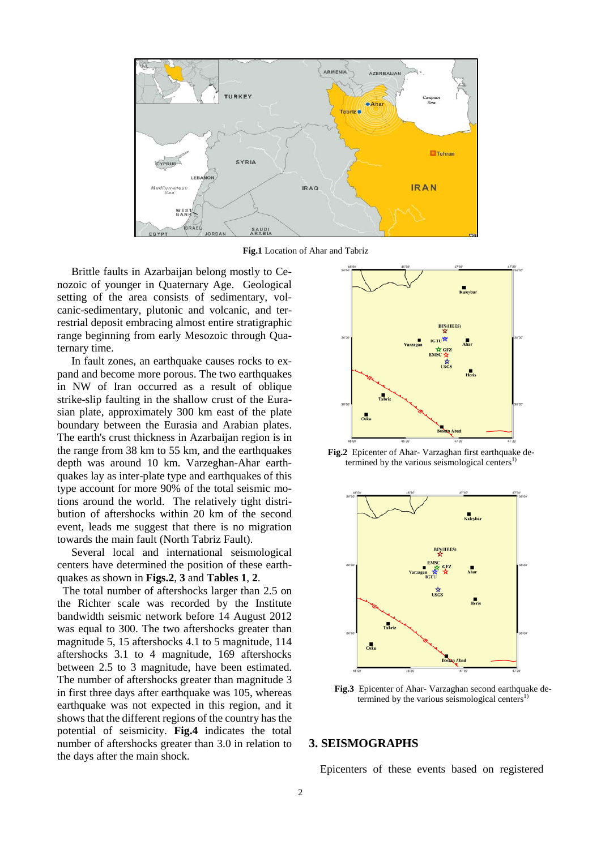

**Fig.1** Location of Ahar and Tabriz

Brittle faults in Azarbaijan belong mostly to Cenozoic of younger in Quaternary Age. Geological setting of the area consists of sedimentary, volcanic-sedimentary, plutonic and volcanic, and terrestrial deposit embracing almost entire stratigraphic range beginning from early Mesozoic through Quaternary time.

In fault zones, an earthquake causes rocks to expand and become more porous. The two earthquakes in NW of Iran occurred as a result of oblique strike-slip faulting in the shallow crust of the Eurasian plate, approximately 300 km east of the plate boundary between the Eurasia and Arabian plates. The earth's crust thickness in Azarbaijan region is in the range from 38 km to 55 km, and the earthquakes depth was around 10 km. Varzeghan-Ahar earthquakes lay as inter-plate type and earthquakes of this type account for more 90% of the total seismic motions around the world. The relatively tight distribution of aftershocks within 20 km of the second event, leads me suggest that there is no migration towards the main fault (North Tabriz Fault).

Several local and international seismological centers have determined the position of these earthquakes as shown in **Figs.2**, **3** and **Tables 1**, **2**.

 The total number of aftershocks larger than 2.5 on the Richter scale was recorded by the Institute bandwidth seismic network before 14 August 2012 was equal to 300. The two aftershocks greater than magnitude 5, 15 aftershocks 4.1 to 5 magnitude, 114 aftershocks 3.1 to 4 magnitude, 169 aftershocks between 2.5 to 3 magnitude, have been estimated. The number of aftershocks greater than magnitude 3 in first three days after earthquake was 105, whereas earthquake was not expected in this region, and it shows that the different regions of the country has the potential of seismicity. **Fig.4** indicates the total number of aftershocks greater than 3.0 in relation to the days after the main shock.



**Fig.2** Epicenter of Ahar- Varzaghan first earthquake determined by the various seismological centers<sup>1</sup>



**Fig.3** Epicenter of Ahar- Varzaghan second earthquake determined by the various seismological centers $^{1)}$ 

## **3. SEISMOGRAPHS**

Epicenters of these events based on registered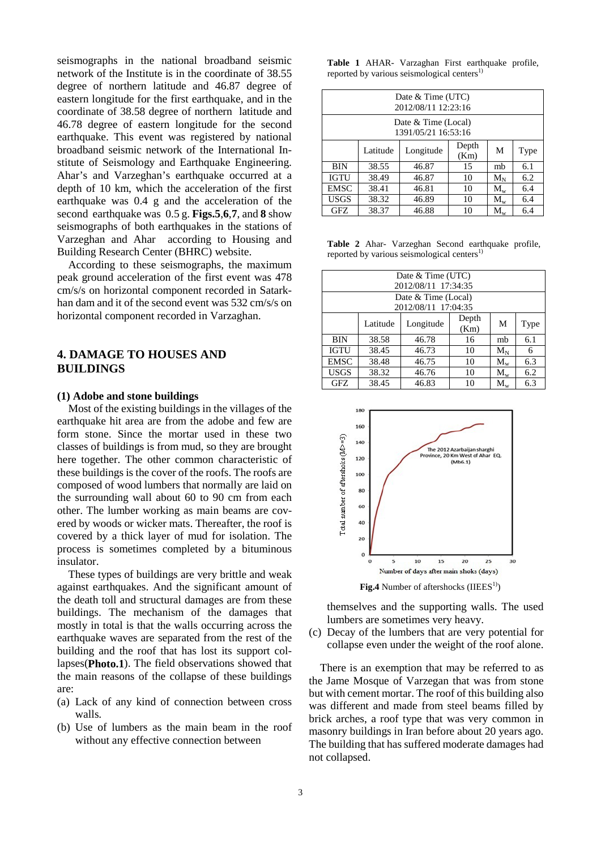seismographs in the national broadband seismic network of the Institute is in the coordinate of 38.55 degree of northern latitude and 46.87 degree of eastern longitude for the first earthquake, and in the coordinate of 38.58 degree of northern latitude and 46.78 degree of eastern longitude for the second earthquake. This event was registered by national broadband seismic network of the International Institute of Seismology and Earthquake Engineering. Ahar's and Varzeghan's earthquake occurred at a depth of 10 km, which the acceleration of the first earthquake was 0.4 g and the acceleration of the second earthquake was 0.5 g. **Figs.5**,**6**,**7**, and **8** show seismographs of both earthquakes in the stations of Varzeghan and Ahar according to Housing and Building Research Center (BHRC) website.

According to these seismographs, the maximum peak ground acceleration of the first event was 478 cm/s/s on horizontal component recorded in Satarkhan dam and it of the second event was 532 cm/s/s on horizontal component recorded in Varzaghan.

# **4. DAMAGE TO HOUSES AND BUILDINGS**

#### **(1) Adobe and stone buildings**

Most of the existing buildings in the villages of the earthquake hit area are from the adobe and few are form stone. Since the mortar used in these two classes of buildings is from mud, so they are brought here together. The other common characteristic of these buildings is the cover of the roofs. The roofs are composed of wood lumbers that normally are laid on the surrounding wall about 60 to 90 cm from each other. The lumber working as main beams are covered by woods or wicker mats. Thereafter, the roof is covered by a thick layer of mud for isolation. The process is sometimes completed by a bituminous insulator.

These types of buildings are very brittle and weak against earthquakes. And the significant amount of the death toll and structural damages are from these buildings. The mechanism of the damages that mostly in total is that the walls occurring across the earthquake waves are separated from the rest of the building and the roof that has lost its support collapses(**Photo.1**). The field observations showed that the main reasons of the collapse of these buildings are:

- (a) Lack of any kind of connection between cross walls.
- (b) Use of lumbers as the main beam in the roof without any effective connection between

|                                                         |  |  |  |  | Table 1 AHAR- Varzaghan First earthquake profile, |  |  |
|---------------------------------------------------------|--|--|--|--|---------------------------------------------------|--|--|
| reported by various seismological centers <sup>1)</sup> |  |  |  |  |                                                   |  |  |

| Date & Time (UTC)<br>2012/08/11 12:23:16   |          |           |               |           |      |  |  |  |
|--------------------------------------------|----------|-----------|---------------|-----------|------|--|--|--|
| Date & Time (Local)<br>1391/05/21 16:53:16 |          |           |               |           |      |  |  |  |
|                                            | Latitude | Longitude | Depth<br>(Km) | M         | Type |  |  |  |
| <b>BIN</b>                                 | 38.55    | 46.87     | 15            | mb        | 6.1  |  |  |  |
| <b>IGTU</b>                                | 38.49    | 46.87     | 10            | $\rm M_N$ | 6.2  |  |  |  |
| <b>EMSC</b>                                | 38.41    | 46.81     | 10            | $M_{w}$   | 6.4  |  |  |  |
| <b>USGS</b>                                | 38.32    | 46.89     | 10            | $M_{w}$   | 6.4  |  |  |  |
| GFZ                                        | 38.37    | 46.88     | 10            | $M_{w}$   | 6.4  |  |  |  |

**Table 2** Ahar- Varzeghan Second earthquake profile, reported by various seismological centers $1$ 

| Date & Time (UTC)   |          |           |               |         |      |  |  |  |
|---------------------|----------|-----------|---------------|---------|------|--|--|--|
| 2012/08/11 17:34:35 |          |           |               |         |      |  |  |  |
| Date & Time (Local) |          |           |               |         |      |  |  |  |
| 2012/08/11 17:04:35 |          |           |               |         |      |  |  |  |
|                     | Latitude | Longitude | Depth<br>(Km) | M       | Type |  |  |  |
| <b>BIN</b>          | 38.58    | 46.78     | 16            | mb      | 6.1  |  |  |  |
| <b>IGTU</b>         | 38.45    | 46.73     | 10            | $M_N$   | 6    |  |  |  |
| <b>EMSC</b>         | 38.48    | 46.75     | 10            | $M_{w}$ | 6.3  |  |  |  |
| <b>USGS</b>         | 38.32    | 46.76     | 10            | $M_{w}$ | 6.2  |  |  |  |
| GFZ                 | 38.45    | 46.83     | 10            | $M_{w}$ | 6.3  |  |  |  |



Fig.4 Number of aftershocks (IIEES<sup>1)</sup>)

themselves and the supporting walls. The used lumbers are sometimes very heavy.

(c) Decay of the lumbers that are very potential for collapse even under the weight of the roof alone.

There is an exemption that may be referred to as the Jame Mosque of Varzegan that was from stone but with cement mortar. The roof of this building also was different and made from steel beams filled by brick arches, a roof type that was very common in masonry buildings in Iran before about 20 years ago. The building that has suffered moderate damages had not collapsed.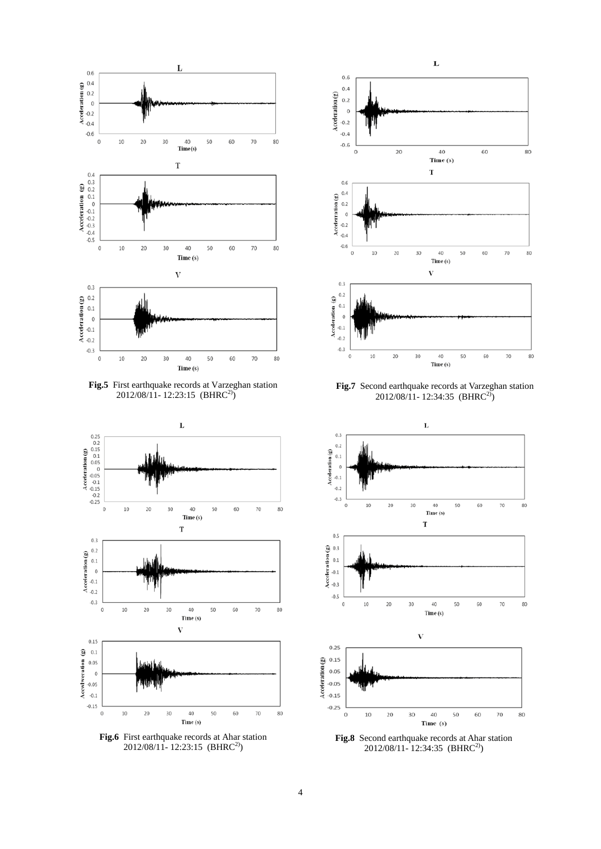





**Fig.6** First earthquake records at Ahar station 2012/08/11-12:23:15 (BHRC<sup>2)</sup>)



**Fig.7** Second earthquake records at Varzeghan station 2012/08/11- 12:34:35 (BHRC2))



**Fig.8** Second earthquake records at Ahar station 2012/08/11- 12:34:35 (BHRC2))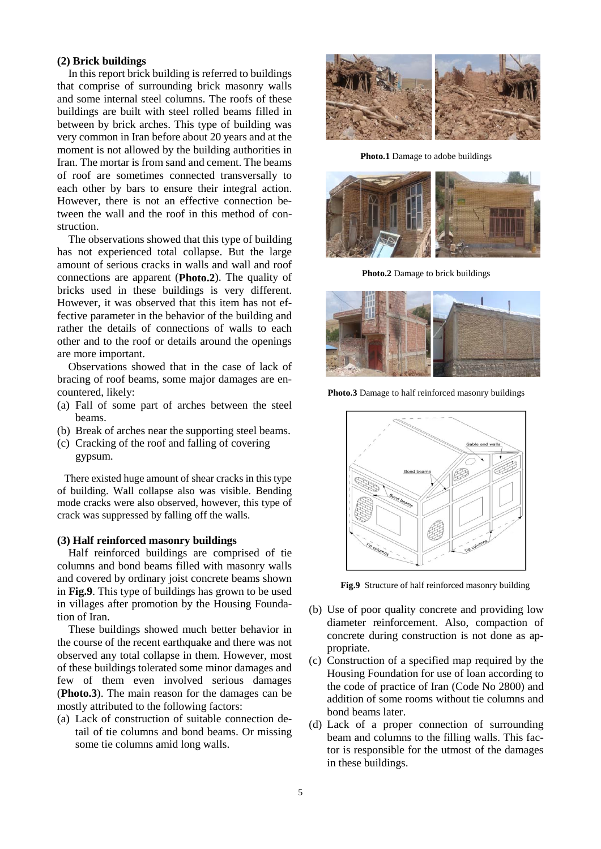## **(2) Brick buildings**

In this report brick building is referred to buildings that comprise of surrounding brick masonry walls and some internal steel columns. The roofs of these buildings are built with steel rolled beams filled in between by brick arches. This type of building was very common in Iran before about 20 years and at the moment is not allowed by the building authorities in Iran. The mortar is from sand and cement. The beams of roof are sometimes connected transversally to each other by bars to ensure their integral action. However, there is not an effective connection between the wall and the roof in this method of construction.

The observations showed that this type of building has not experienced total collapse. But the large amount of serious cracks in walls and wall and roof connections are apparent (**Photo.2**). The quality of bricks used in these buildings is very different. However, it was observed that this item has not effective parameter in the behavior of the building and rather the details of connections of walls to each other and to the roof or details around the openings are more important.

Observations showed that in the case of lack of bracing of roof beams, some major damages are encountered, likely:

- (a) Fall of some part of arches between the steel beams.
- (b) Break of arches near the supporting steel beams.
- (c) Cracking of the roof and falling of covering gypsum.

There existed huge amount of shear cracks in this type of building. Wall collapse also was visible. Bending mode cracks were also observed, however, this type of crack was suppressed by falling off the walls.

#### **(3) Half reinforced masonry buildings**

Half reinforced buildings are comprised of tie columns and bond beams filled with masonry walls and covered by ordinary joist concrete beams shown in **Fig.9**. This type of buildings has grown to be used in villages after promotion by the Housing Foundation of Iran.

These buildings showed much better behavior in the course of the recent earthquake and there was not observed any total collapse in them. However, most of these buildings tolerated some minor damages and few of them even involved serious damages (**Photo.3**). The main reason for the damages can be mostly attributed to the following factors:

(a) Lack of construction of suitable connection detail of tie columns and bond beams. Or missing some tie columns amid long walls.



**Photo.1** Damage to adobe buildings



**Photo.2** Damage to brick buildings



**Photo.3** Damage to half reinforced masonry buildings



**Fig.9** Structure of half reinforced masonry building

- (b) Use of poor quality concrete and providing low diameter reinforcement. Also, compaction of concrete during construction is not done as appropriate.
- (c) Construction of a specified map required by the Housing Foundation for use of loan according to the code of practice of Iran (Code No 2800) and addition of some rooms without tie columns and bond beams later.
- (d) Lack of a proper connection of surrounding beam and columns to the filling walls. This factor is responsible for the utmost of the damages in these buildings.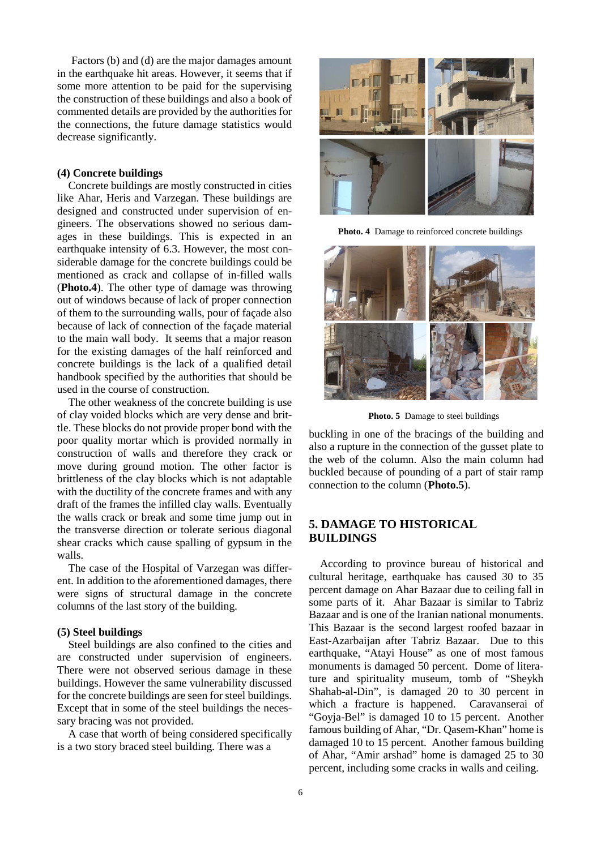Factors (b) and (d) are the major damages amount in the earthquake hit areas. However, it seems that if some more attention to be paid for the supervising the construction of these buildings and also a book of commented details are provided by the authorities for the connections, the future damage statistics would decrease significantly.

## **(4) Concrete buildings**

Concrete buildings are mostly constructed in cities like Ahar, Heris and Varzegan. These buildings are designed and constructed under supervision of engineers. The observations showed no serious damages in these buildings. This is expected in an earthquake intensity of 6.3. However, the most considerable damage for the concrete buildings could be mentioned as crack and collapse of in-filled walls (**Photo.4**). The other type of damage was throwing out of windows because of lack of proper connection of them to the surrounding walls, pour of façade also because of lack of connection of the façade material to the main wall body. It seems that a major reason for the existing damages of the half reinforced and concrete buildings is the lack of a qualified detail handbook specified by the authorities that should be used in the course of construction.

The other weakness of the concrete building is use of clay voided blocks which are very dense and brittle. These blocks do not provide proper bond with the poor quality mortar which is provided normally in construction of walls and therefore they crack or move during ground motion. The other factor is brittleness of the clay blocks which is not adaptable with the ductility of the concrete frames and with any draft of the frames the infilled clay walls. Eventually the walls crack or break and some time jump out in the transverse direction or tolerate serious diagonal shear cracks which cause spalling of gypsum in the walls.

The case of the Hospital of Varzegan was different. In addition to the aforementioned damages, there were signs of structural damage in the concrete columns of the last story of the building.

#### **(5) Steel buildings**

Steel buildings are also confined to the cities and are constructed under supervision of engineers. There were not observed serious damage in these buildings. However the same vulnerability discussed for the concrete buildings are seen for steel buildings. Except that in some of the steel buildings the necessary bracing was not provided.

A case that worth of being considered specifically is a two story braced steel building. There was a



**Photo. 4** Damage to reinforced concrete buildings



**Photo. 5** Damage to steel buildings

buckling in one of the bracings of the building and also a rupture in the connection of the gusset plate to the web of the column. Also the main column had buckled because of pounding of a part of stair ramp connection to the column (**Photo.5**).

# **5. DAMAGE TO HISTORICAL BUILDINGS**

According to province bureau of historical and cultural heritage, earthquake has caused 30 to 35 percent damage on Ahar Bazaar due to ceiling fall in some parts of it. Ahar Bazaar is similar to Tabriz Bazaar and is one of the Iranian national monuments. This Bazaar is the second largest roofed bazaar in East-Azarbaijan after Tabriz Bazaar. Due to this earthquake, "Atayi House" as one of most famous monuments is damaged 50 percent. Dome of literature and spirituality museum, tomb of "Sheykh Shahab-al-Din", is damaged 20 to 30 percent in which a fracture is happened. Caravanserai of "Goyja-Bel" is damaged 10 to 15 percent. Another famous building of Ahar, "Dr. Qasem-Khan" home is damaged 10 to 15 percent. Another famous building of Ahar, "Amir arshad" home is damaged 25 to 30 percent, including some cracks in walls and ceiling.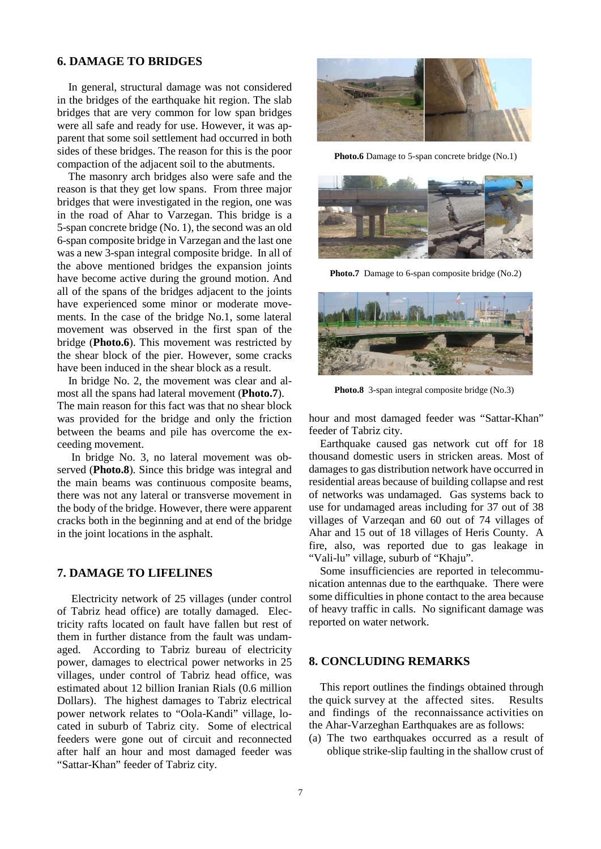# **6. DAMAGE TO BRIDGES**

In general, structural damage was not considered in the bridges of the earthquake hit region. The slab bridges that are very common for low span bridges were all safe and ready for use. However, it was apparent that some soil settlement had occurred in both sides of these bridges. The reason for this is the poor compaction of the adjacent soil to the abutments.

The masonry arch bridges also were safe and the reason is that they get low spans. From three major bridges that were investigated in the region, one was in the road of Ahar to Varzegan. This bridge is a 5-span concrete bridge (No. 1), the second was an old 6-span composite bridge in Varzegan and the last one was a new 3-span integral composite bridge. In all of the above mentioned bridges the expansion joints have become active during the ground motion. And all of the spans of the bridges adjacent to the joints have experienced some minor or moderate movements. In the case of the bridge No.1, some lateral movement was observed in the first span of the bridge (**Photo.6**). This movement was restricted by the shear block of the pier. However, some cracks have been induced in the shear block as a result.

In bridge No. 2, the movement was clear and almost all the spans had lateral movement (**Photo.7**).

The main reason for this fact was that no shear block was provided for the bridge and only the friction between the beams and pile has overcome the exceeding movement.

In bridge No. 3, no lateral movement was observed (**Photo.8**). Since this bridge was integral and the main beams was continuous composite beams, there was not any lateral or transverse movement in the body of the bridge. However, there were apparent cracks both in the beginning and at end of the bridge in the joint locations in the asphalt.

# **7. DAMAGE TO LIFELINES**

Electricity network of 25 villages (under control of Tabriz head office) are totally damaged. Electricity rafts located on fault have fallen but rest of them in further distance from the fault was undamaged. According to Tabriz bureau of electricity power, damages to electrical power networks in 25 villages, under control of Tabriz head office, was estimated about 12 billion Iranian Rials (0.6 million Dollars). The highest damages to Tabriz electrical power network relates to "Oola-Kandi" village, located in suburb of Tabriz city. Some of electrical feeders were gone out of circuit and reconnected after half an hour and most damaged feeder was "Sattar-Khan" feeder of Tabriz city.



Photo.6 Damage to 5-span concrete bridge (No.1)



Photo.7 Damage to 6-span composite bridge (No.2)



**Photo.8** 3-span integral composite bridge (No.3)

hour and most damaged feeder was "Sattar-Khan" feeder of Tabriz city.

Earthquake caused gas network cut off for 18 thousand domestic users in stricken areas. Most of damages to gas distribution network have occurred in residential areas because of building collapse and rest of networks was undamaged. Gas systems back to use for undamaged areas including for 37 out of 38 villages of Varzeqan and 60 out of 74 villages of Ahar and 15 out of 18 villages of Heris County. A fire, also, was reported due to gas leakage in "Vali-lu" village, suburb of "Khaju".

Some insufficiencies are reported in telecommunication antennas due to the earthquake. There were some difficulties in phone contact to the area because of heavy traffic in calls. No significant damage was reported on water network.

# **8. CONCLUDING REMARKS**

This report outlines the findings obtained through the quick survey at the affected sites. Results and findings of the reconnaissance activities on the Ahar-Varzeghan Earthquakes are as follows:

(a) The two earthquakes occurred as a result of oblique strike-slip faulting in the shallow crust of